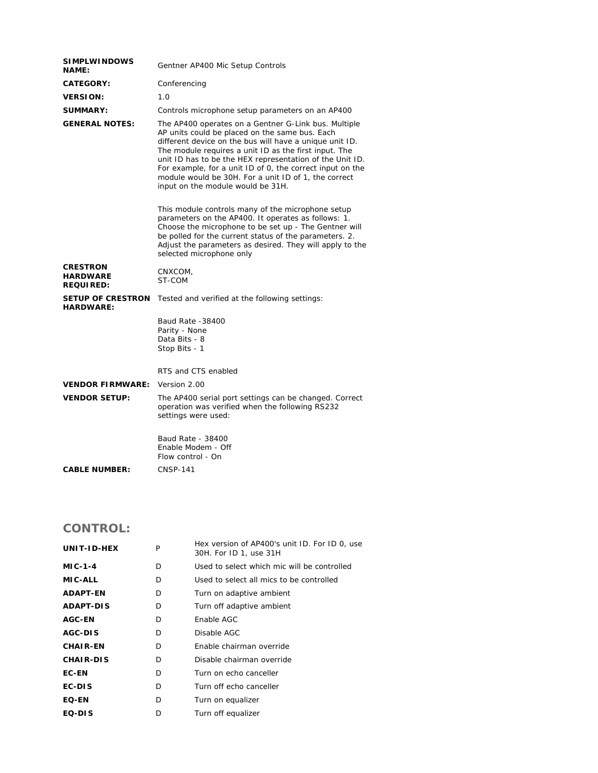| <b>SIMPLWINDOWS</b><br><b>NAME:</b>                    | Gentner AP400 Mic Setup Controls                                                                                                                                                                                                                                                                                                                                                                                                                 |  |  |
|--------------------------------------------------------|--------------------------------------------------------------------------------------------------------------------------------------------------------------------------------------------------------------------------------------------------------------------------------------------------------------------------------------------------------------------------------------------------------------------------------------------------|--|--|
| <b>CATEGORY:</b>                                       | Conferencing                                                                                                                                                                                                                                                                                                                                                                                                                                     |  |  |
| <b>VERSION:</b>                                        | 1.0                                                                                                                                                                                                                                                                                                                                                                                                                                              |  |  |
| <b>SUMMARY:</b>                                        | Controls microphone setup parameters on an AP400                                                                                                                                                                                                                                                                                                                                                                                                 |  |  |
| <b>GENERAL NOTES:</b>                                  | The AP400 operates on a Gentner G-Link bus. Multiple<br>AP units could be placed on the same bus. Each<br>different device on the bus will have a unique unit ID.<br>The module requires a unit ID as the first input. The<br>unit ID has to be the HEX representation of the Unit ID.<br>For example, for a unit ID of 0, the correct input on the<br>module would be 30H. For a unit ID of 1, the correct<br>input on the module would be 31H. |  |  |
|                                                        | This module controls many of the microphone setup<br>parameters on the AP400. It operates as follows: 1.<br>Choose the microphone to be set up - The Gentner will<br>be polled for the current status of the parameters. 2.<br>Adjust the parameters as desired. They will apply to the<br>selected microphone only                                                                                                                              |  |  |
| <b>CRESTRON</b><br><b>HARDWARE</b><br><b>REQUIRED:</b> | CNXCOM,<br>ST-COM                                                                                                                                                                                                                                                                                                                                                                                                                                |  |  |
| <b>SETUP OF CRESTRON</b><br><b>HARDWARE:</b>           | Tested and verified at the following settings:                                                                                                                                                                                                                                                                                                                                                                                                   |  |  |
|                                                        | Baud Rate -38400<br>Parity - None<br>Data Bits - 8<br>Stop Bits - 1                                                                                                                                                                                                                                                                                                                                                                              |  |  |
|                                                        | RTS and CTS enabled                                                                                                                                                                                                                                                                                                                                                                                                                              |  |  |
| <b>VENDOR FIRMWARE:</b>                                | Version 2.00                                                                                                                                                                                                                                                                                                                                                                                                                                     |  |  |
| <b>VENDOR SETUP:</b>                                   | The AP400 serial port settings can be changed. Correct<br>operation was verified when the following RS232<br>settings were used:                                                                                                                                                                                                                                                                                                                 |  |  |
|                                                        | Baud Rate - 38400<br>Enable Modem - Off<br>Flow control - On                                                                                                                                                                                                                                                                                                                                                                                     |  |  |
| <b>CABLE NUMBER:</b>                                   | CNSP-141                                                                                                                                                                                                                                                                                                                                                                                                                                         |  |  |

## **CONTROL:**

| UNIT-ID-HEX      | P | Hex version of AP400's unit ID. For ID 0, use<br>30H. For ID 1, use 31H |
|------------------|---|-------------------------------------------------------------------------|
| <b>MIC-1-4</b>   | D | Used to select which mic will be controlled                             |
| <b>MIC-ALL</b>   | D | Used to select all mics to be controlled                                |
| <b>ADAPT-EN</b>  | D | Turn on adaptive ambient                                                |
| <b>ADAPT-DIS</b> | D | Turn off adaptive ambient                                               |
| <b>AGC-EN</b>    | D | Enable AGC                                                              |
| AGC-DIS          | D | Disable AGC                                                             |
| <b>CHAIR-EN</b>  | D | Enable chairman override                                                |
| <b>CHAIR-DIS</b> | D | Disable chairman override                                               |
| <b>EC-EN</b>     | D | Turn on echo canceller                                                  |
| EC-DIS           | D | Turn off echo canceller                                                 |
| <b>EQ-EN</b>     | D | Turn on equalizer                                                       |
| EQ-DIS           | D | Turn off equalizer                                                      |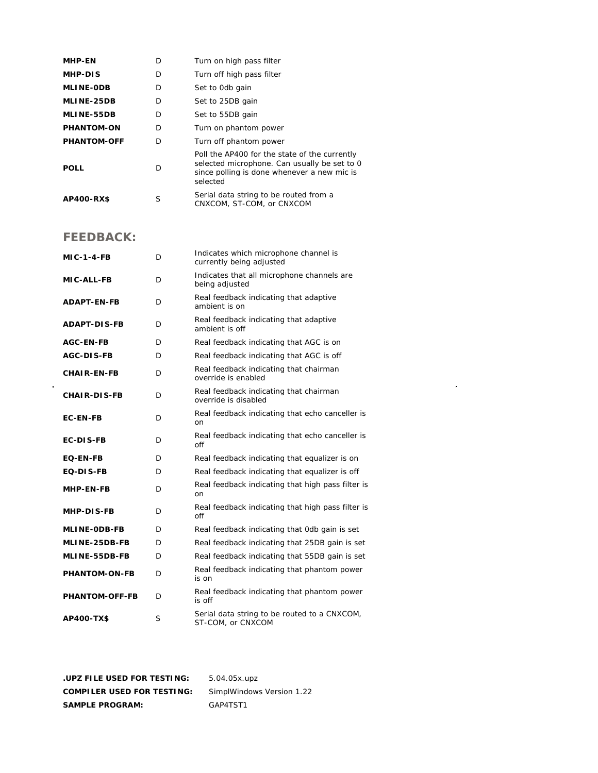| <b>MHP-EN</b>      | D | Turn on high pass filter                                                                                                                                 |
|--------------------|---|----------------------------------------------------------------------------------------------------------------------------------------------------------|
| MHP-DIS            | D | Turn off high pass filter                                                                                                                                |
| <b>MLINE-ODB</b>   | D | Set to Odb gain                                                                                                                                          |
| MLINE-25DB         | D | Set to 25DB gain                                                                                                                                         |
| <b>MLINE-55DB</b>  | D | Set to 55DB gain                                                                                                                                         |
| <b>PHANTOM-ON</b>  | D | Turn on phantom power                                                                                                                                    |
| <b>PHANTOM-OFF</b> | D | Turn off phantom power                                                                                                                                   |
| <b>POLL</b>        | D | Poll the AP400 for the state of the currently<br>selected microphone. Can usually be set to 0<br>since polling is done whenever a new mic is<br>selected |
| AP400-RX\$         | S | Serial data string to be routed from a<br>CNXCOM, ST-COM, or CNXCOM                                                                                      |

## **FEEDBACK:**

 $\hat{\mathcal{L}}$ 

| <b>MIC-1-4-FB</b>     | D | Indicates which microphone channel is<br>currently being adjusted |
|-----------------------|---|-------------------------------------------------------------------|
| <b>MIC-ALL-FB</b>     | D | Indicates that all microphone channels are<br>being adjusted      |
| <b>ADAPT-EN-FB</b>    | D | Real feedback indicating that adaptive<br>ambient is on           |
| <b>ADAPT-DIS-FB</b>   | D | Real feedback indicating that adaptive<br>ambient is off          |
| AGC-EN-FB             | D | Real feedback indicating that AGC is on                           |
| <b>AGC-DIS-FB</b>     | D | Real feedback indicating that AGC is off                          |
| <b>CHAIR-EN-FB</b>    | D | Real feedback indicating that chairman<br>override is enabled     |
| <b>CHAIR-DIS-FB</b>   | D | Real feedback indicating that chairman<br>override is disabled    |
| <b>EC-EN-FB</b>       | D | Real feedback indicating that echo canceller is<br>on             |
| <b>EC-DIS-FB</b>      | D | Real feedback indicating that echo canceller is<br>off            |
| <b>EQ-EN-FB</b>       | D | Real feedback indicating that equalizer is on                     |
| EQ-DIS-FB             | D | Real feedback indicating that equalizer is off                    |
| MHP-EN-FB             | D | Real feedback indicating that high pass filter is<br>on           |
| <b>MHP-DIS-FB</b>     | D | Real feedback indicating that high pass filter is<br>off          |
| <b>MLINE-ODB-FB</b>   | D | Real feedback indicating that Odb gain is set                     |
| MLINE-25DB-FB         | D | Real feedback indicating that 25DB gain is set                    |
| <b>MLINE-55DB-FB</b>  | D | Real feedback indicating that 55DB gain is set                    |
| <b>PHANTOM-ON-FB</b>  | D | Real feedback indicating that phantom power<br>is on              |
| <b>PHANTOM-OFF-FB</b> | D | Real feedback indicating that phantom power<br>is off             |
| <b>AP400-TX\$</b>     | S | Serial data string to be routed to a CNXCOM,<br>ST-COM, or CNXCOM |

 $\mathcal{L}^{\text{max}}_{\text{max}}$ 

**.UPZ FILE USED FOR TESTING:** 5.04.05x.upz **COMPILER USED FOR TESTING:** SimplWindows Version 1.22 SAMPLE PROGRAM: GAP4TST1